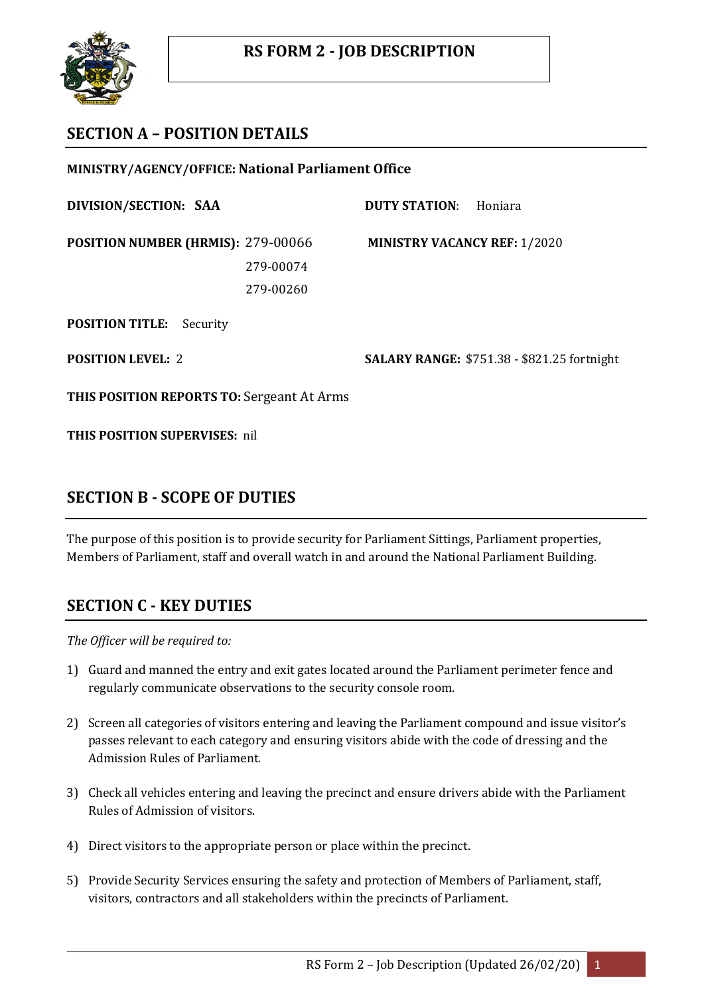

# **SECTION A – POSITION DETAILS**

### **MINISTRY/AGENCY/OFFICE: National Parliament Office**

**DIVISION/SECTION: SAA DUTY STATION**: Honiara

**POSITION NUMBER (HRMIS):** 279-00066 **MINISTRY VACANCY REF:** 1/2020

279-00074 279-00260

**POSITION TITLE:** Security

**POSITION LEVEL:** 2 **SALARY RANGE:** \$751.38 - \$821.25 fortnight

**THIS POSITION REPORTS TO:** Sergeant At Arms

**THIS POSITION SUPERVISES:** nil

## **SECTION B - SCOPE OF DUTIES**

The purpose of this position is to provide security for Parliament Sittings, Parliament properties, Members of Parliament, staff and overall watch in and around the National Parliament Building.

# **SECTION C - KEY DUTIES**

*The Officer will be required to:*

- 1) Guard and manned the entry and exit gates located around the Parliament perimeter fence and regularly communicate observations to the security console room.
- 2) Screen all categories of visitors entering and leaving the Parliament compound and issue visitor's passes relevant to each category and ensuring visitors abide with the code of dressing and the Admission Rules of Parliament.
- 3) Check all vehicles entering and leaving the precinct and ensure drivers abide with the Parliament Rules of Admission of visitors.
- 4) Direct visitors to the appropriate person or place within the precinct.
- 5) Provide Security Services ensuring the safety and protection of Members of Parliament, staff, visitors, contractors and all stakeholders within the precincts of Parliament.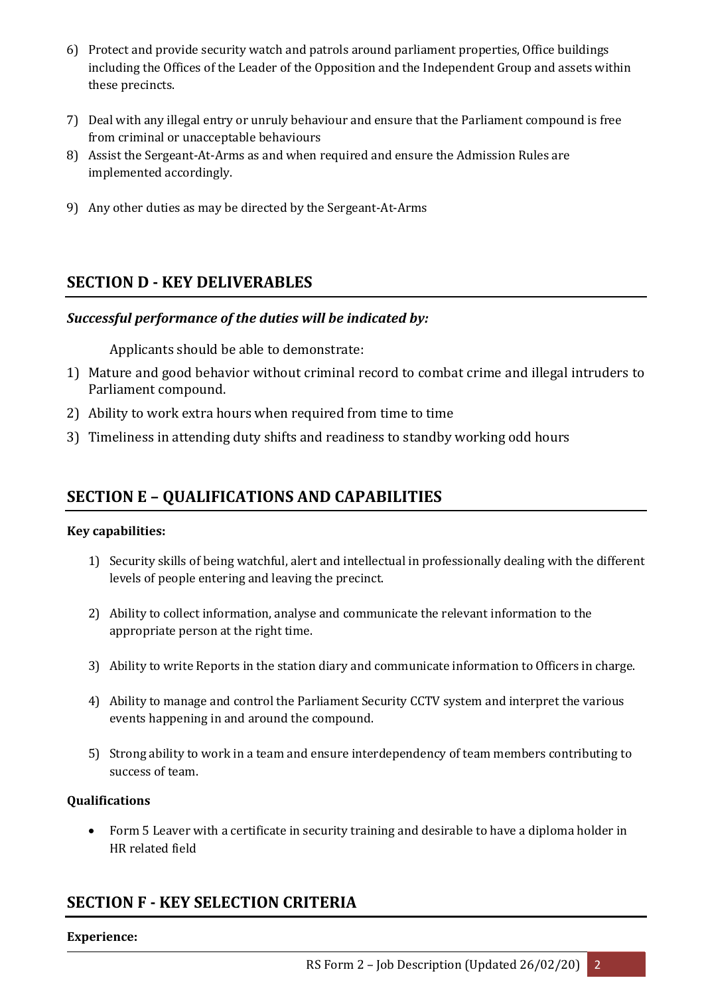- 6) Protect and provide security watch and patrols around parliament properties, Office buildings including the Offices of the Leader of the Opposition and the Independent Group and assets within these precincts.
- 7) Deal with any illegal entry or unruly behaviour and ensure that the Parliament compound is free from criminal or unacceptable behaviours
- 8) Assist the Sergeant-At-Arms as and when required and ensure the Admission Rules are implemented accordingly.
- 9) Any other duties as may be directed by the Sergeant-At-Arms

## **SECTION D - KEY DELIVERABLES**

### *Successful performance of the duties will be indicated by:*

Applicants should be able to demonstrate:

- 1) Mature and good behavior without criminal record to combat crime and illegal intruders to Parliament compound.
- 2) Ability to work extra hours when required from time to time
- 3) Timeliness in attending duty shifts and readiness to standby working odd hours

## **SECTION E – QUALIFICATIONS AND CAPABILITIES**

#### **Key capabilities:**

- 1) Security skills of being watchful, alert and intellectual in professionally dealing with the different levels of people entering and leaving the precinct.
- 2) Ability to collect information, analyse and communicate the relevant information to the appropriate person at the right time.
- 3) Ability to write Reports in the station diary and communicate information to Officers in charge.
- 4) Ability to manage and control the Parliament Security CCTV system and interpret the various events happening in and around the compound.
- 5) Strong ability to work in a team and ensure interdependency of team members contributing to success of team.

#### **Qualifications**

 Form 5 Leaver with a certificate in security training and desirable to have a diploma holder in HR related field

## **SECTION F - KEY SELECTION CRITERIA**

#### **Experience:**